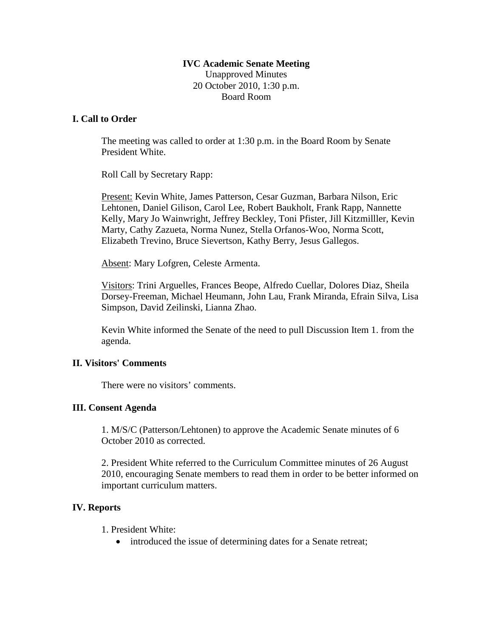## **IVC Academic Senate Meeting** Unapproved Minutes 20 October 2010, 1:30 p.m. Board Room

## **I. Call to Order**

The meeting was called to order at 1:30 p.m. in the Board Room by Senate President White.

Roll Call by Secretary Rapp:

Present: Kevin White, James Patterson, Cesar Guzman, Barbara Nilson, Eric Lehtonen, Daniel Gilison, Carol Lee, Robert Baukholt, Frank Rapp, Nannette Kelly, Mary Jo Wainwright, Jeffrey Beckley, Toni Pfister, Jill Kitzmilller, Kevin Marty, Cathy Zazueta, Norma Nunez, Stella Orfanos-Woo, Norma Scott, Elizabeth Trevino, Bruce Sievertson, Kathy Berry, Jesus Gallegos.

Absent: Mary Lofgren, Celeste Armenta.

Visitors: Trini Arguelles, Frances Beope, Alfredo Cuellar, Dolores Diaz, Sheila Dorsey-Freeman, Michael Heumann, John Lau, Frank Miranda, Efrain Silva, Lisa Simpson, David Zeilinski, Lianna Zhao.

Kevin White informed the Senate of the need to pull Discussion Item 1. from the agenda.

#### **II. Visitors' Comments**

There were no visitors' comments.

#### **III. Consent Agenda**

1. M/S/C (Patterson/Lehtonen) to approve the Academic Senate minutes of 6 October 2010 as corrected.

2. President White referred to the Curriculum Committee minutes of 26 August 2010, encouraging Senate members to read them in order to be better informed on important curriculum matters.

# **IV. Reports**

- 1. President White:
	- introduced the issue of determining dates for a Senate retreat;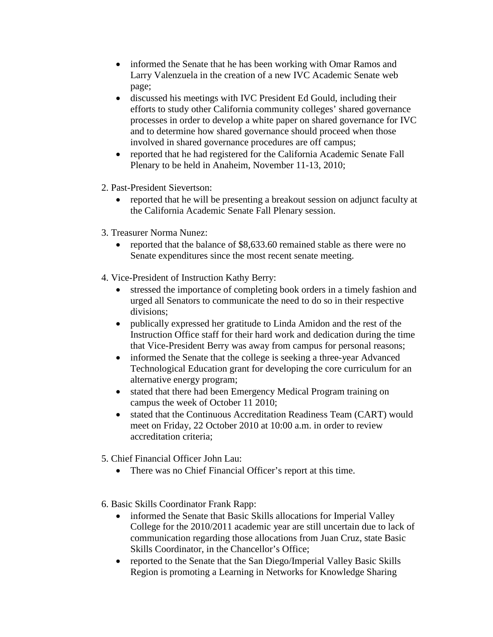- informed the Senate that he has been working with Omar Ramos and Larry Valenzuela in the creation of a new IVC Academic Senate web page;
- discussed his meetings with IVC President Ed Gould, including their efforts to study other California community colleges' shared governance processes in order to develop a white paper on shared governance for IVC and to determine how shared governance should proceed when those involved in shared governance procedures are off campus;
- reported that he had registered for the California Academic Senate Fall Plenary to be held in Anaheim, November 11-13, 2010;
- 2. Past-President Sievertson:
	- reported that he will be presenting a breakout session on adjunct faculty at the California Academic Senate Fall Plenary session.
- 3. Treasurer Norma Nunez:
	- reported that the balance of \$8,633.60 remained stable as there were no Senate expenditures since the most recent senate meeting.
- 4. Vice-President of Instruction Kathy Berry:
	- stressed the importance of completing book orders in a timely fashion and urged all Senators to communicate the need to do so in their respective divisions;
	- publically expressed her gratitude to Linda Amidon and the rest of the Instruction Office staff for their hard work and dedication during the time that Vice-President Berry was away from campus for personal reasons;
	- informed the Senate that the college is seeking a three-year Advanced Technological Education grant for developing the core curriculum for an alternative energy program;
	- stated that there had been Emergency Medical Program training on campus the week of October 11 2010;
	- stated that the Continuous Accreditation Readiness Team (CART) would meet on Friday, 22 October 2010 at 10:00 a.m. in order to review accreditation criteria;
- 5. Chief Financial Officer John Lau:
	- There was no Chief Financial Officer's report at this time.
- 6. Basic Skills Coordinator Frank Rapp:
	- informed the Senate that Basic Skills allocations for Imperial Valley College for the 2010/2011 academic year are still uncertain due to lack of communication regarding those allocations from Juan Cruz, state Basic Skills Coordinator, in the Chancellor's Office;
	- reported to the Senate that the San Diego/Imperial Valley Basic Skills Region is promoting a Learning in Networks for Knowledge Sharing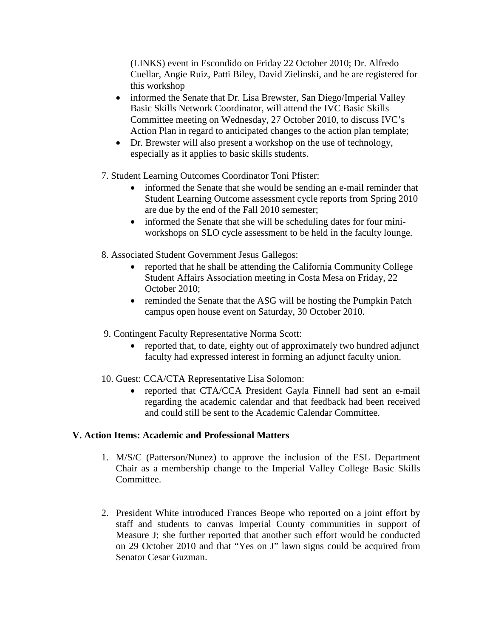(LINKS) event in Escondido on Friday 22 October 2010; Dr. Alfredo Cuellar, Angie Ruiz, Patti Biley, David Zielinski, and he are registered for this workshop

- informed the Senate that Dr. Lisa Brewster, San Diego/Imperial Valley Basic Skills Network Coordinator, will attend the IVC Basic Skills Committee meeting on Wednesday, 27 October 2010, to discuss IVC's Action Plan in regard to anticipated changes to the action plan template;
- Dr. Brewster will also present a workshop on the use of technology, especially as it applies to basic skills students.
- 7. Student Learning Outcomes Coordinator Toni Pfister:
	- informed the Senate that she would be sending an e-mail reminder that Student Learning Outcome assessment cycle reports from Spring 2010 are due by the end of the Fall 2010 semester;
	- informed the Senate that she will be scheduling dates for four miniworkshops on SLO cycle assessment to be held in the faculty lounge.
- 8. Associated Student Government Jesus Gallegos:
	- reported that he shall be attending the California Community College Student Affairs Association meeting in Costa Mesa on Friday, 22 October 2010;
	- reminded the Senate that the ASG will be hosting the Pumpkin Patch campus open house event on Saturday, 30 October 2010.
- 9. Contingent Faculty Representative Norma Scott:
	- reported that, to date, eighty out of approximately two hundred adjunct faculty had expressed interest in forming an adjunct faculty union.
- 10. Guest: CCA/CTA Representative Lisa Solomon:
	- reported that CTA/CCA President Gayla Finnell had sent an e-mail regarding the academic calendar and that feedback had been received and could still be sent to the Academic Calendar Committee.

# **V. Action Items: Academic and Professional Matters**

- 1. M/S/C (Patterson/Nunez) to approve the inclusion of the ESL Department Chair as a membership change to the Imperial Valley College Basic Skills Committee.
- 2. President White introduced Frances Beope who reported on a joint effort by staff and students to canvas Imperial County communities in support of Measure J; she further reported that another such effort would be conducted on 29 October 2010 and that "Yes on J" lawn signs could be acquired from Senator Cesar Guzman.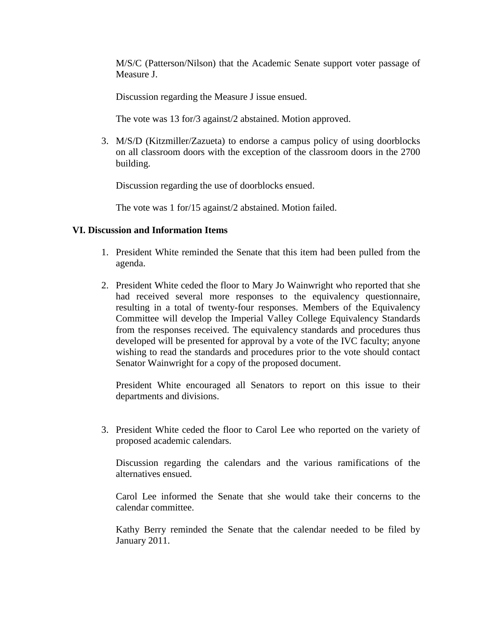M/S/C (Patterson/Nilson) that the Academic Senate support voter passage of Measure J.

Discussion regarding the Measure J issue ensued.

The vote was 13 for/3 against/2 abstained. Motion approved.

3. M/S/D (Kitzmiller/Zazueta) to endorse a campus policy of using doorblocks on all classroom doors with the exception of the classroom doors in the 2700 building.

Discussion regarding the use of doorblocks ensued.

The vote was 1 for/15 against/2 abstained. Motion failed.

## **VI. Discussion and Information Items**

- 1. President White reminded the Senate that this item had been pulled from the agenda.
- 2. President White ceded the floor to Mary Jo Wainwright who reported that she had received several more responses to the equivalency questionnaire, resulting in a total of twenty-four responses. Members of the Equivalency Committee will develop the Imperial Valley College Equivalency Standards from the responses received. The equivalency standards and procedures thus developed will be presented for approval by a vote of the IVC faculty; anyone wishing to read the standards and procedures prior to the vote should contact Senator Wainwright for a copy of the proposed document.

President White encouraged all Senators to report on this issue to their departments and divisions.

3. President White ceded the floor to Carol Lee who reported on the variety of proposed academic calendars.

Discussion regarding the calendars and the various ramifications of the alternatives ensued.

Carol Lee informed the Senate that she would take their concerns to the calendar committee.

Kathy Berry reminded the Senate that the calendar needed to be filed by January 2011.